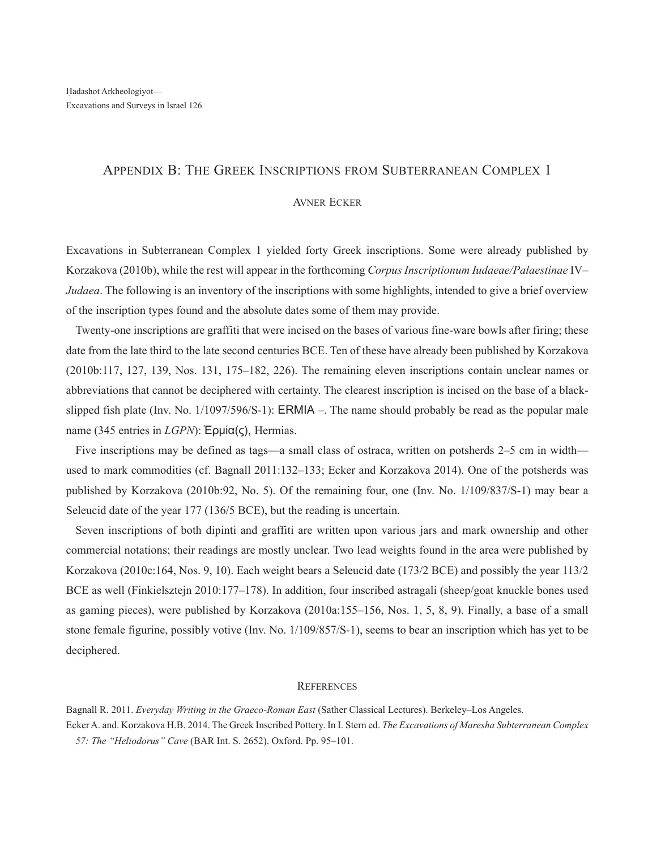## Appendix B: The Greek Inscriptions from Subterranean Complex 1

## Avner Ecker

Excavations in Subterranean Complex 1 yielded forty Greek inscriptions. Some were already published by Korzakova (2010b), while the rest will appear in the forthcoming *Corpus Inscriptionum Iudaeae/Palaestinae* IV– *Judaea*. The following is an inventory of the inscriptions with some highlights, intended to give a brief overview of the inscription types found and the absolute dates some of them may provide.

Twenty-one inscriptions are graffiti that were incised on the bases of various fine-ware bowls after firing; these date from the late third to the late second centuries BCE. Ten of these have already been published by Korzakova (2010b:117, 127, 139, Nos. 131, 175–182, 226). The remaining eleven inscriptions contain unclear names or abbreviations that cannot be deciphered with certainty. The clearest inscription is incised on the base of a blackslipped fish plate (Inv. No. 1/1097/596/S-1): ERMIA –. The name should probably be read as the popular male name (345 entries in *LGPN*): Ἑρμία(ς), Hermias.

Five inscriptions may be defined as tags—a small class of ostraca, written on potsherds 2–5 cm in width used to mark commodities (cf. Bagnall 2011:132–133; Ecker and Korzakova 2014). One of the potsherds was published by Korzakova (2010b:92, No. 5). Of the remaining four, one (Inv. No. 1/109/837/S-1) may bear a Seleucid date of the year 177 (136/5 BCE), but the reading is uncertain.

Seven inscriptions of both dipinti and graffiti are written upon various jars and mark ownership and other commercial notations; their readings are mostly unclear. Two lead weights found in the area were published by Korzakova (2010c:164, Nos. 9, 10). Each weight bears a Seleucid date (173/2 BCE) and possibly the year 113/2 BCE as well (Finkielsztejn 2010:177–178). In addition, four inscribed astragali (sheep/goat knuckle bones used as gaming pieces), were published by Korzakova (2010a:155–156, Nos. 1, 5, 8, 9). Finally, a base of a small stone female figurine, possibly votive (Inv. No. 1/109/857/S-1), seems to bear an inscription which has yet to be deciphered.

## **REFERENCES**

Bagnall R. 2011. *Everyday Writing in the Graeco-Roman East* (Sather Classical Lectures). Berkeley–Los Angeles.

Ecker A. and. Korzakova H.B. 2014. The Greek Inscribed Pottery. In I. Stern ed. *The Excavations of Maresha Subterranean Complex 57: The "Heliodorus" Cave* (BAR Int. S. 2652). Oxford. Pp. 95–101.